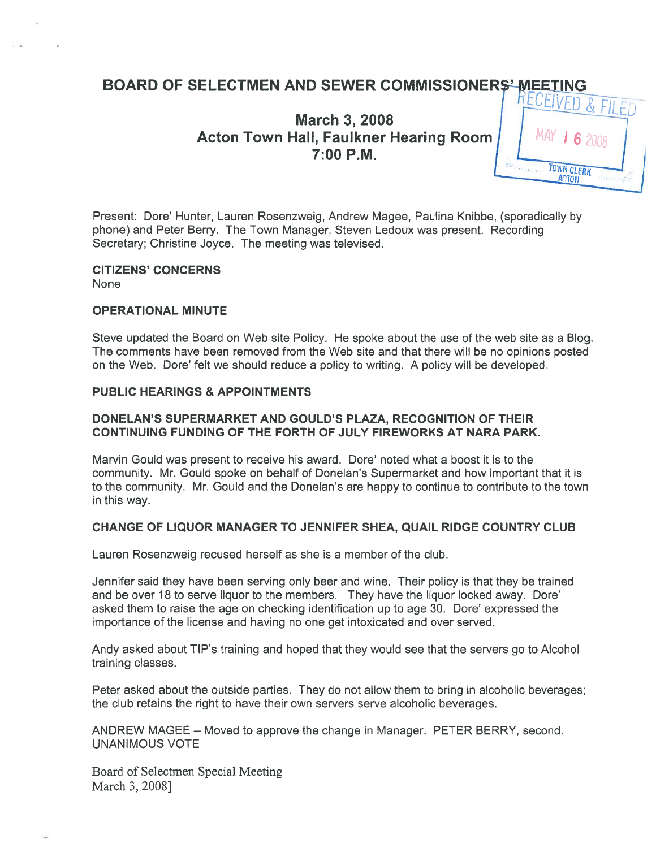# BOARD OF SELECTMEN AND SEWER COMMISSIONERS' MEETING

**March 3, 2008 Acton Town Hall, Faulkner Hearing Room**  $7:00$  P.M.



Present: Dore' Hunter, Lauren Rosenzweig, Andrew Magee, Paulina Knibbe, (sporadically by phone) and Peter Berry. The Town Manager, Steven Ledoux was present. Recording Secretary; Christine Joyce. The meeting was televised.

#### CITIZENS' CONCERNS None

#### OPERATIONAL MINUTE

Steve updated the Board on Web site Policy. He spoke about the use of the web site as <sup>a</sup> Blog. The comments have been removed from the Web site and that there will be no opinions posted on the Web. Dore' felt we should reduce <sup>a</sup> policy to writing. A policy will be developed.

#### PUBLIC HEARINGS & APPOINTMENTS

#### DONELAN'S SUPERMARKET AND GOULD'S PLAZA, RECOGNITION OF THEIR CONTINUING FUNDING OF THE FORTH OF JULY FIREWORKS AT NARA PARK.

Marvin Gould was presen<sup>t</sup> to receive his award. Dore' noted what <sup>a</sup> boost it is to the community. Mr. Gould spoke on behalf of Donelan's Supermarket and how important that it is to the community. Mr. Gould and the Donelan's are happy to continue to contribute to the town in this way.

#### CHANGE OF LIQUOR MANAGER TO JENNIFER SHEA, QUAIL RIDGE COUNTRY CLUB

Lauren Rosenzweig recused herself as she is <sup>a</sup> member of the club.

Jennifer said they have been serving only beer and wine. Their policy is that they be trained and be over 18 to serve liquor to the members. They have the liquor locked away. Dore' asked them to raise the age on checking identification up to age 30. Dore' expressed the importance of the license and having no one ge<sup>t</sup> intoxicated and over served.

Andy asked about TIP's training and hoped that they would see that the servers go to Alcohol training classes.

Peter asked about the outside parties. They do not allow them to bring in alcoholic beverages; the club retains the right to have their own servers serve alcoholic beverages.

ANDREW MAGEE — Moved to approve the change in Manager. PETER BERRY, second. UNANIMOUS VOTE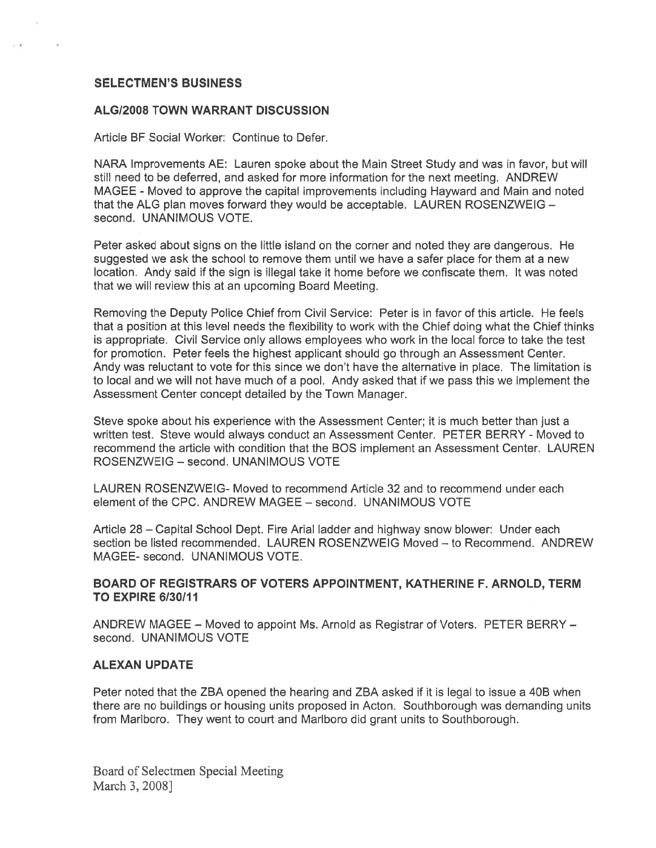#### SELECTMEN'S BUSINESS

#### ALG/2008 TOWN WARRANT DISCUSSION

Article BF Social Worker: Continue to Defer.

NARA Improvements AE: Lauren spoke about the Main Street Study and was in favor, but will still need to be deferred, and asked for more information for the next meeting. ANDREW MAGEE - Moved to approve the capital improvements including Hayward and Main and noted that the ALG plan moves forward they would be acceptable. LAUREN ROSENZWEIG second. UNANIMOUS VOTE.

Peter asked about signs on the little island on the corner and noted they are dangerous. He suggested we ask the school to remove them until we have <sup>a</sup> safer place for them at <sup>a</sup> new location. Andy said if the sign is illegal take it home before we confiscate them. It was noted that we will review this at an upcoming Board Meeting.

Removing the Deputy Police Chief from Civil Service: Peter is in favor of this article. He feels that <sup>a</sup> position at this level needs the flexibility to work with the Chief doing what the Chief thinks is appropriate. Civil Service only allows employees who work in the local force to take the test for promotion. Peter feels the highest applicant should go through an Assessment Center. Andy was reluctant to vote for this since we don't have the alternative in place. The limitation is to local and we will not have much of <sup>a</sup> pool. Andy asked that if we pass this we implement the Assessment Center concep<sup>t</sup> detailed by the Town Manager.

Steve spoke about his experience with the Assessment Center; it is much better than just <sup>a</sup> written test. Steve would always conduct an Assessment Center. PETER BERRY - Moved to recommend the article with condition that the BOS implement an Assessment Center. LAUREN ROSENZWEIG — second. UNANIMOUS VOTE

LAUREN ROSENZWEIG- Moved to recommend Article 32 and to recommend under each element of the CPC. ANDREW MAGEE — second. UNANIMOUS VOTE

Article 28 – Capital School Dept. Fire Arial ladder and highway snow blower: Under each section be listed recommended. LAUREN ROSENZWEIG Moved — to Recommend. ANDREW MAGEE- second. UNANIMOUS VOTE.

#### BOARD OF REGISTRARS OF VOTERS APPOINTMENT, KATHERINE F. ARNOLD, TERM **TO EXPIRE 6/30/11**

ANDREW MAGEE — Moved to appoint Ms. Arnold as Registrar of Voters. PETER BERRY second. UNANIMOUS VOTE

#### ALEXAN UPDATE

Peter noted that the ZBA opened the hearing and ZBA asked if it is legal to issue <sup>a</sup> 40B when there are no buildings or housing units proposed in Acton. Southborough was demanding units from Marlboro. They went to court and Marlboro did gran<sup>t</sup> units to Southborough.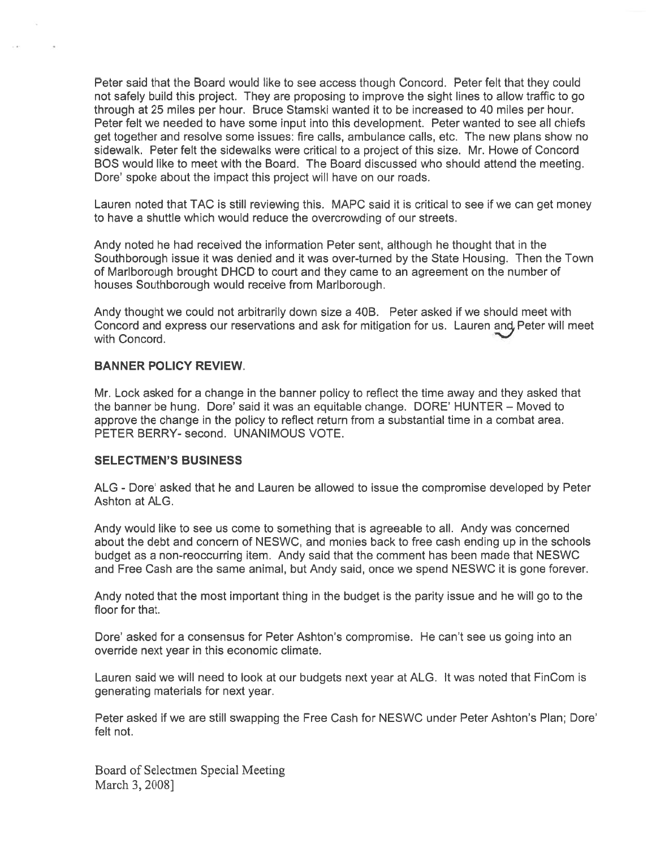Peter said that the Board would like to see access though Concord. Peter felt that they could not safely build this project. They are proposing to improve the sight lines to allow traffic to go through at 25 miles per hour. Bruce Stamski wanted it to be increased to 40 miles per hour. Peter felt we needed to have some input into this development. Peter wanted to see all chiefs ge<sup>t</sup> together and resolve some issues: fire calls, ambulance calls, etc. The new plans show no sidewalk. Peter felt the sidewalks were critical to <sup>a</sup> project of this size. Mr. Howe of Concord BOS would like to meet with the Board. The Board discussed who should attend the meeting. Dore' spoke about the impact this project will have on our roads.

Lauren noted that TAC is still reviewing this. MAPC said it is critical to see if we can ge<sup>t</sup> money to have <sup>a</sup> shuttle which would reduce the overcrowding of our streets.

Andy noted he had received the information Peter sent, although he thought that in the Southborough issue it was denied and it was over-turned by the State Housing. Then the Town of Marlborough brought DHCD to court and they came to an agreemen<sup>t</sup> on the number of houses Southborough would receive from Marlborough.

Andy thought we could not arbitrarily down size <sup>a</sup> 40B. Peter asked if we should meet with Concord and express our reservations and ask for mitigation for us. Lauren and Peter will meet with Concord.

#### BANNER POLICY REVIEW.

Mr. Lock asked for <sup>a</sup> change in the banner policy to reflect the time away and they asked that the banner be hung. Dore' said it was an equitable change. DORE' HUNTER - Moved to approve the change in the policy to reflect return from <sup>a</sup> substantial time in <sup>a</sup> combat area. PETER BERRY- second. UNANIMOUS VOTE.

#### SELECTMEN'S BUSINESS

ALG - Dore' asked that he and Lauren be allowed to issue the compromise developed by Peter Ashton at ALG.

Andy would like to see us come to something that is agreeable to all. Andy was concerned about the debt and concern of NESWC, and monies back to free cash ending up in the schools budget as <sup>a</sup> non-reoccurring item. Andy said that the comment has been made that NESWC and Free Cash are the same animal, but Andy said, once we spend NESWC it is gone forever.

Andy noted that the most important thing in the budget is the parity issue and he will go to the floor for that.

Dore' asked for <sup>a</sup> consensus for Peter Ashton's compromise. He can't see us going into an override next year in this economic climate.

Lauren said we will need to look at our budgets next year at ALG. It was noted that FinCom is generating materials for next year.

Peter asked if we are still swapping the Free Cash for NESWC under Peter Ashton's Plan; Dote' felt not.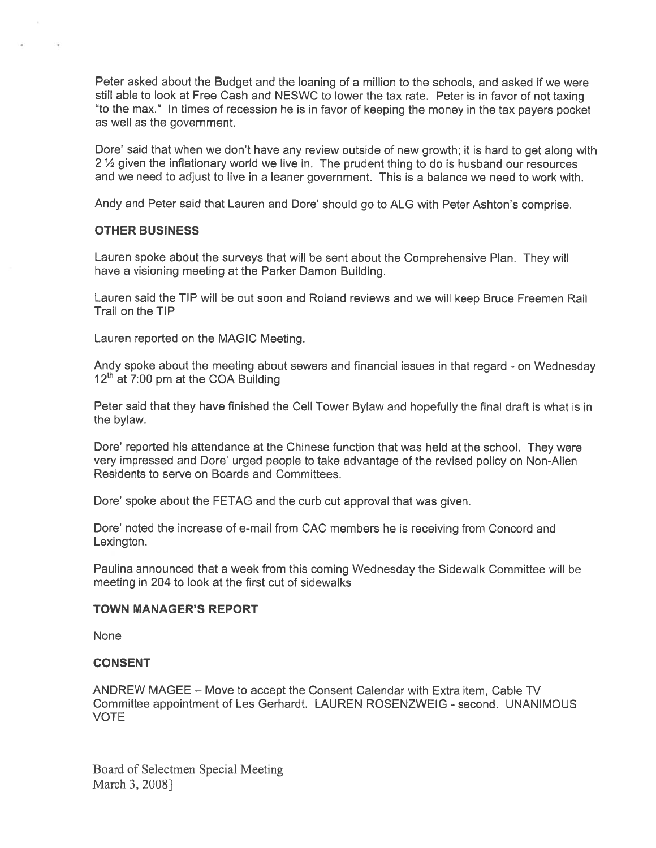Peter asked about the Budget and the loaning of <sup>a</sup> million to the schools, and asked if we were still able to look at Free Cash and NESWC to lower the tax rate. Peter is in favor of not taxing "to the max." In times of recession he is in favor of keeping the money in the tax payers pocket as well as the government.

Dote' said that when we don't have any review outside of new growth; it is hard to ge<sup>t</sup> along with 2 1/2 given the inflationary world we live in. The prudent thing to do is husband our resources and we need to adjust to live in <sup>a</sup> leaner government. This is <sup>a</sup> balance we need to work with,

Andy and Peter said that Lauren and Dore' should go to ALG with Peter Ashton's comprise.

#### OTHER BUSINESS

Lauren spoke about the surveys that will be sent about the Comprehensive Plan. They will have <sup>a</sup> visioning meeting at the Parker Damon Building.

Lauren said the TIP will be out soon and Roland reviews and we will keep Bruce Freemen Rail Trail on the TIP

Lauren reported on the MAGIC Meeting.

Andy spoke about the meeting about sewers and financial issues in that regard - on Wednesday<br>12<sup>th</sup> at 7:00 pm at the COA Building

Peter said that they have finished the Cell Tower Bylaw and hopefully the final draft is what is in the bylaw.

Dote' reported his attendance at the Chinese function that was held at the school. They were very impressed and Dote' urged people to take advantage of the revised policy on Non-Alien Residents to serve on Boards and Committees.

Dore' spoke about the FETAG and the curb cut approval that was given.

Dote' noted the increase of e-mail from CAC members he is receiving from Concord and Lexington.

Paulina announced that <sup>a</sup> week from this coming Wednesday the Sidewalk Committee will be meeting in 204 to look at the first cut of sidewalks

#### TOWN MANAGER'S REPORT

None

#### CONSENT

ANDREW MAGEE — Move to accep<sup>t</sup> the Consent Calendar with Extra item, Cable TV Committee appointment of Les Gerhardt. LAUREN ROSENZWEIG - second. UNANIMOUS VOTE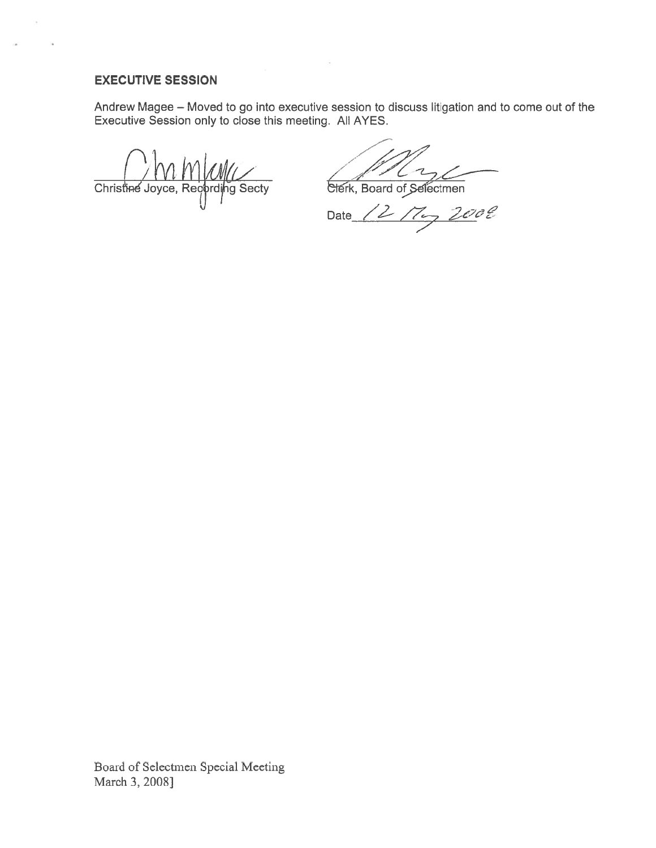#### EXECUTIVE SESSION

ò.

Andrew Magee — Moved to go into executive session to discuss litigation and to come out of the Executive Session only to close this meeting. All AYES.

Christine Joyce, Regarding Secty

/

Date  $/2\sqrt{2}$  2008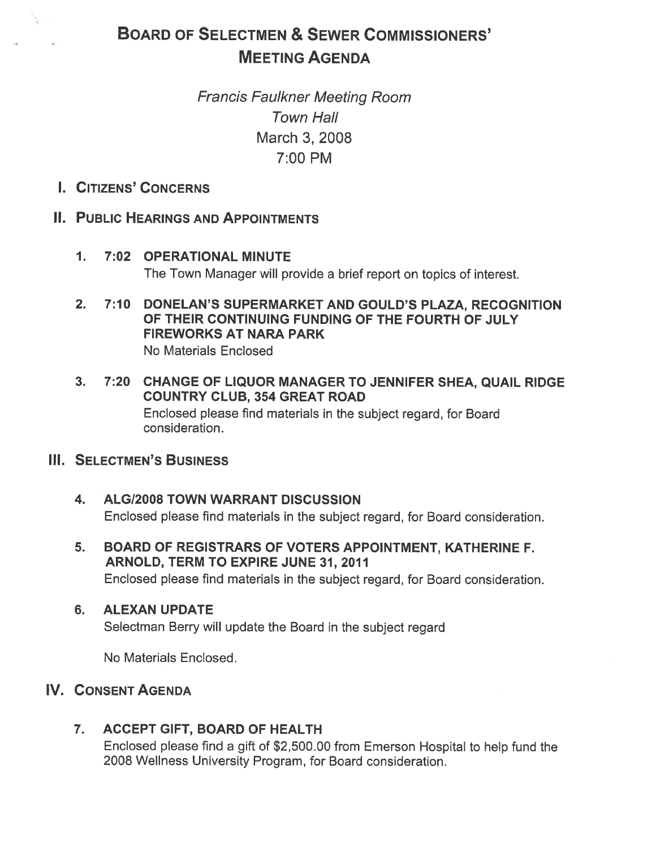# BOARD OF SELECTMEN & SEWER COMMISSIONERS' MEETING AGENDA

# Francis Faulkner Meeting Room Town Hall March 3, 2008 7:00 PM

### I. CITIZENS' CONCERNS

# II. PUBLIC HEARINGS AND APPOINTMENTS

- 1. 7:02 OPERATIONAL MINUTE The Town Manager will provide <sup>a</sup> brief repor<sup>t</sup> on topics of interest.
- 2. 7:10 DONELAN'S SUPERMARKET AND GOULD'S PLAZA, RECOGNITION OF THEIR CONTINUING FUNDING OF THE FOURTH OF JULY FIREWORKS AT NARA PARK No Materials Enclosed
- 3. 7:20 CHANGE OF LIQUOR MANAGER TO JENNIFER SHEA, QUAIL RIDGE COUNTRY CLUB, 354 GREAT ROAD Enclosed <sup>p</sup>lease find materials in the subject regard, for Board consideration.

### III. SELECTMEN'S BUSINESS

- 4. ALGI2008 TOWN WARRANT DISCUSSION Enclosed please find materials in the subject regard, for Board consideration.
- 5. BOARD OF REGISTRARS OF VOTERS APPOINTMENT, KATHERINE F. ARNOLD, TERM TO EXPIRE JUNE 31, 2011 Enclosed please find materials in the subject regard, for Board consideration.

### 6. ALEXAN UPDATE

Selectman Berry will update the Board in the subject regard

No Materials Enclosed.

# IV. CONSENT AGENDA

# 7. ACCEPT GIFT, BOARD OF HEALTH

Enclosed <sup>p</sup>lease find <sup>a</sup> <sup>g</sup>ift of \$2,500.00 from Emerson Hospital to help fund the 2008 Wellness University Program, for Board consideration.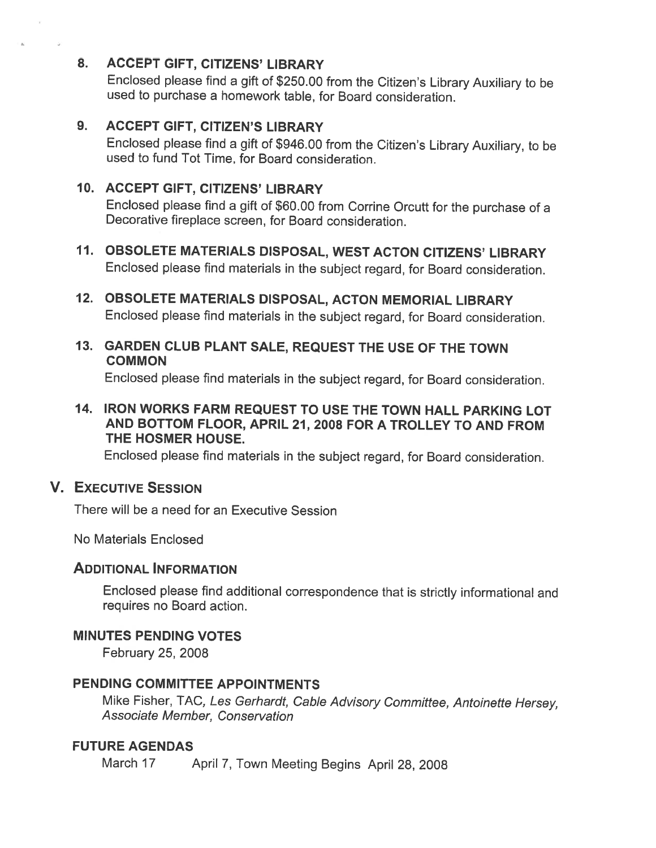### 8. ACCEPT GIFT, CITIZENS' LIBRARY

Enclosed <sup>p</sup>lease find <sup>a</sup> <sup>g</sup>ift of \$250.00 from the Citizen's Library Auxiliary to be used to purchase <sup>a</sup> homework table, for Board consideration.

### 9. ACCEPT GIFT, CITIZEN'S LIBRARY

Enclosed <sup>p</sup>lease find <sup>a</sup> <sup>g</sup>ift of \$946.00 from the Citizen's Library Auxiliary, to be used to fund Tot Time, for Board consideration.

### 10. ACCEPT GIFT, CITIZENS' LIBRARY

Enclosed <sup>p</sup>lease find <sup>a</sup> <sup>g</sup>ift of \$60.00 from Corrine Orcutt for the purchase of <sup>a</sup> Decorative fireplace screen, for Board consideration.

- 11. OBSOLETE MATERIALS DISPOSAL, WEST ACTON CITIZENS' LIBRARY Enclosed <sup>p</sup>lease find materials in the subject regard, for Board consideration.
- 12. OBSOLETE MATERIALS DISPOSAL, ACTON MEMORIAL LIBRARY Enclosed <sup>p</sup>lease find materials in the subject regard, for Board consideration.
- 13. GARDEN CLUB PLANT SALE, REQUEST THE USE OF THE TOWN **COMMON**

Enclosed <sup>p</sup>lease find materials in the subject regard, for Board consideration.

14. IRON WORKS FARM REQUEST TO USE THE TOWN HALL PARKING LOT AND BOTTOM FLOOR, APRIL 21, 2008 FOR A TROLLEY TO AND FROM THE HOSMER HOUSE.

Enclosed <sup>p</sup>lease find materials in the subject regard, for Board consideration.

### V. EXECUTIVE SESSION

There will be <sup>a</sup> need for an Executive Session

No Materials Enclosed

### ADDITIONAL INFORMATION

Enclosed <sup>p</sup>lease find additional correspondence that is strictly informational and requires no Board action.

### MINUTES PENDING VOTES

February 25, 2008

## PENDING COMMITTEE APPOINTMENTS

Mike Fisher, TAC, Les Gerhardt, Cable Advisory Committee, Antoinette Hersey, Associate Member, Conservation

### FUTURE AGENDAS

March <sup>17</sup> April 7, Town Meeting Begins April 28, <sup>2008</sup>